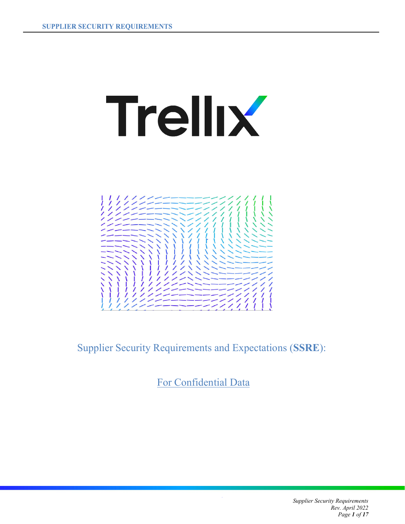# **Trellix**



Supplier Security Requirements and Expectations (**SSRE**):

For Confidential Data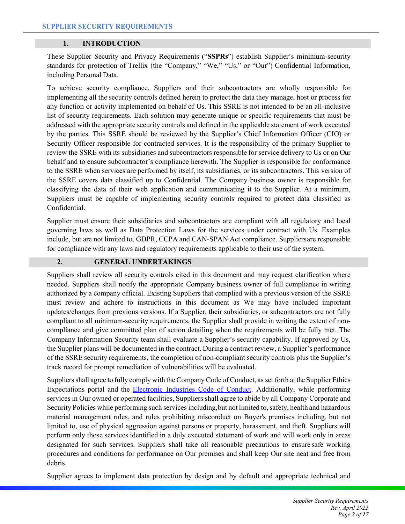# **1. INTRODUCTION**

These Supplier Security and Privacy Requirements ("**SSPRs**") establish Supplier's minimum-security standards for protection of Trellix (the "Company," "We," "Us," or "Our") Confidential Information, including Personal Data.

To achieve security compliance, Suppliers and their subcontractors are wholly responsible for implementing all the security controls defined herein to protect the data they manage, host or process for any function or activity implemented on behalf of Us. This SSRE is not intended to be an all-inclusive list of security requirements. Each solution may generate unique or specific requirements that must be addressed with the appropriate security controls and defined in the applicable statement of work executed by the parties. This SSRE should be reviewed by the Supplier's Chief Information Officer (CIO) or Security Officer responsible for contracted services. It is the responsibility of the primary Supplier to review the SSRE with its subsidiaries and subcontractors responsible for service delivery to Us or on Our behalf and to ensure subcontractor's compliance herewith. The Supplier is responsible for conformance to the SSRE when services are performed by itself, its subsidiaries, or its subcontractors. This version of the SSRE covers data classified up to Confidential. The Company business owner is responsible for classifying the data of their web application and communicating it to the Supplier. At a minimum, Suppliers must be capable of implementing security controls required to protect data classified as Confidential.

Supplier must ensure their subsidiaries and subcontractors are compliant with all regulatory and local governing laws as well as Data Protection Laws for the services under contract with Us. Examples include, but are not limited to, GDPR, CCPA and CAN-SPAN Act compliance. Suppliersare responsible for compliance with any laws and regulatory requirements applicable to their use of the system.

## **2. GENERAL UNDERTAKINGS**

Suppliers shall review all security controls cited in this document and may request clarification where needed. Suppliers shall notify the appropriate Company business owner of full compliance in writing authorized by a company official. Existing Suppliers that complied with a previous version of the SSRE must review and adhere to instructions in this document as We may have included important updates/changes from previous versions. If a Supplier, their subsidiaries, or subcontractors are not fully compliant to all minimum-security requirements, the Supplier shall provide in writing the extent of noncompliance and give committed plan of action detailing when the requirements will be fully met. The Company Information Security team shall evaluate a Supplier's security capability. If approved by Us, the Supplier plans will be documented in the contract. During a contract review, a Supplier's performance of the SSRE security requirements, the completion of non-compliant security controls plus the Supplier's track record for prompt remediation of vulnerabilities will be evaluated.

Suppliers shall agree to fully comply with the Company Code of Conduct, as set forth at the Supplier Ethics Expectations portal and the [Electronic Industries Code of Conduct.](http://www.eiccoalition.org/standards/code-of-conduct/) Additionally, while performing services in Our owned or operated facilities, Suppliers shall agree to abide by all Company Corporate and Security Policies while performing such services including,but not limited to, safety, health and hazardous material management rules, and rules prohibiting misconduct on Buyer's premises including, but not limited to, use of physical aggression against persons or property, harassment, and theft. Suppliers will perform only those services identified in a duly executed statement of work and will work only in areas designated for such services. Suppliers shall take all reasonable precautions to ensure safe working procedures and conditions for performance on Our premises and shall keep Our site neat and free from debris.

Supplier agrees to implement data protection by design and by default and appropriate technical and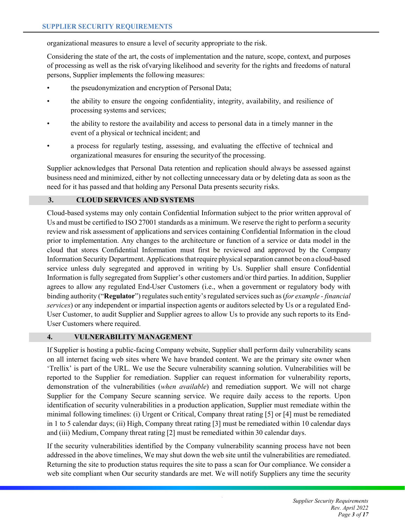organizational measures to ensure a level of security appropriate to the risk.

Considering the state of the art, the costs of implementation and the nature, scope, context, and purposes of processing as well as the risk ofvarying likelihood and severity for the rights and freedoms of natural persons, Supplier implements the following measures:

- the pseudonymization and encryption of Personal Data;
- the ability to ensure the ongoing confidentiality, integrity, availability, and resilience of processing systems and services;
- the ability to restore the availability and access to personal data in a timely manner in the event of a physical or technical incident; and
- a process for regularly testing, assessing, and evaluating the effective of technical and organizational measures for ensuring the securityof the processing.

Supplier acknowledges that Personal Data retention and replication should always be assessed against business need and minimized, either by not collecting unnecessary data or by deleting data as soon as the need for it has passed and that holding any Personal Data presents security risks.

# **3. CLOUD SERVICES AND SYSTEMS**

Cloud-based systems may only contain Confidential Information subject to the prior written approval of Us and must be certified to ISO 27001 standards as a minimum. We reserve the right to perform a security review and risk assessment of applications and services containing Confidential Information in the cloud prior to implementation. Any changes to the architecture or function of a service or data model in the cloud that stores Confidential Information must first be reviewed and approved by the Company Information Security Department. Applications that require physical separation cannot be on a cloud-based service unless duly segregated and approved in writing by Us. Supplier shall ensure Confidential Information is fully segregated from Supplier's other customers and/or third parties. In addition, Supplier agrees to allow any regulated End-User Customers (i.e., when a government or regulatory body with binding authority ("**Regulator**") regulates such entity's regulated services such as (*for example - financial services*) or any independent or impartial inspection agents or auditors selected by Us or a regulated End-User Customer, to audit Supplier and Supplier agrees to allow Us to provide any such reports to its End-User Customers where required.

# **4. VULNERABILITY MANAGEMENT**

If Supplier is hosting a public-facing Company website, Supplier shall perform daily vulnerability scans on all internet facing web sites where We have branded content. We are the primary site owner when 'Trellix' is part of the URL. We use the Secure vulnerability scanning solution. Vulnerabilities will be reported to the Supplier for remediation. Supplier can request information for vulnerability reports, demonstration of the vulnerabilities (*when available*) and remediation support. We will not charge Supplier for the Company Secure scanning service. We require daily access to the reports. Upon identification of security vulnerabilities in a production application, Supplier must remediate within the minimal following timelines: (i) Urgent or Critical, Company threat rating [5] or [4] must be remediated in 1 to 5 calendar days; (ii) High, Company threat rating [3] must be remediated within 10 calendar days and (iii) Medium, Company threat rating [2] must be remediated within 30 calendar days.

If the security vulnerabilities identified by the Company vulnerability scanning process have not been addressed in the above timelines, We may shut down the web site until the vulnerabilities are remediated. Returning the site to production status requires the site to pass a scan for Our compliance. We consider a web site compliant when Our security standards are met. We will notify Suppliers any time the security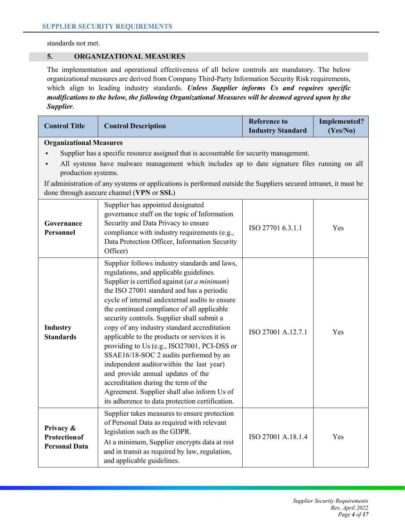standards not met.

## **5. ORGANIZATIONAL MEASURES**

The implementation and operational effectiveness of all below controls are mandatory. The below organizational measures are derived from Company Third-Party Information Security Risk requirements, which align to leading industry standards. *Unless Supplier informs Us and requires specific modifications to the below, the following Organizational Measures will be deemed agreed upon by the Supplier*.

| <b>Control Title</b>                                                                                                                                                                                                                                                                                                                                                                                             | <b>Control Description</b>                                                                                                                                                                                                                                                                                                                                                                                                                                                                                                                                                                                                                                                                                                                             | <b>Reference to</b><br><b>Industry Standard</b> | <b>Implemented?</b><br>(Yes/No) |
|------------------------------------------------------------------------------------------------------------------------------------------------------------------------------------------------------------------------------------------------------------------------------------------------------------------------------------------------------------------------------------------------------------------|--------------------------------------------------------------------------------------------------------------------------------------------------------------------------------------------------------------------------------------------------------------------------------------------------------------------------------------------------------------------------------------------------------------------------------------------------------------------------------------------------------------------------------------------------------------------------------------------------------------------------------------------------------------------------------------------------------------------------------------------------------|-------------------------------------------------|---------------------------------|
| <b>Organizational Measures</b><br>Supplier has a specific resource assigned that is accountable for security management.<br>All systems have malware management which includes up to date signature files running on all<br>production systems.<br>If administration of any systems or applications is performed outside the Suppliers secured intranet, it must be<br>done through asecure channel (VPN or SSL) |                                                                                                                                                                                                                                                                                                                                                                                                                                                                                                                                                                                                                                                                                                                                                        |                                                 |                                 |
| Governance<br>Personnel                                                                                                                                                                                                                                                                                                                                                                                          | Supplier has appointed designated<br>governance staff on the topic of Information<br>Security and Data Privacy to ensure<br>compliance with industry requirements (e.g.,<br>Data Protection Officer, Information Security<br>Officer)                                                                                                                                                                                                                                                                                                                                                                                                                                                                                                                  | ISO 27701 6.3.1.1                               | Yes                             |
| Industry<br><b>Standards</b>                                                                                                                                                                                                                                                                                                                                                                                     | Supplier follows industry standards and laws,<br>regulations, and applicable guidelines.<br>Supplier is certified against (at a minimum)<br>the ISO 27001 standard and has a periodic<br>cycle of internal andexternal audits to ensure<br>the continued compliance of all applicable<br>security controls. Supplier shall submit a<br>copy of any industry standard accreditation<br>applicable to the products or services it is<br>providing to Us (e.g., ISO27001, PCI-DSS or<br>SSAE16/18-SOC 2 audits performed by an<br>independent auditorwithin the last year)<br>and provide annual updates of the<br>accreditation during the term of the<br>Agreement. Supplier shall also inform Us of<br>its adherence to data protection certification. | ISO 27001 A.12.7.1                              | Yes                             |
| Privacy &<br><b>Protection of</b><br><b>Personal Data</b>                                                                                                                                                                                                                                                                                                                                                        | Supplier takes measures to ensure protection<br>of Personal Data as required with relevant<br>legislation such as the GDPR.<br>At a minimum, Supplier encrypts data at rest<br>and in transit as required by law, regulation,<br>and applicable guidelines.                                                                                                                                                                                                                                                                                                                                                                                                                                                                                            | ISO 27001 A.18.1.4                              | Yes                             |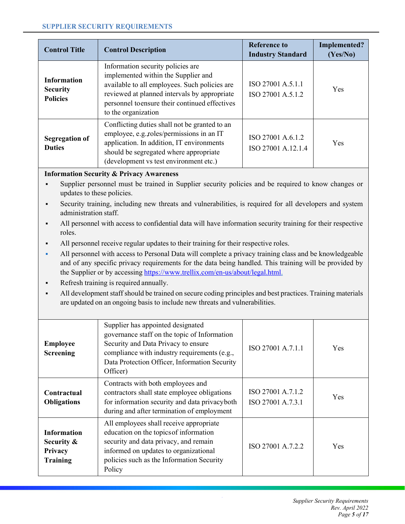| <b>Control Title</b>                                     | <b>Control Description</b>                                                                                                                                                                                                                         | <b>Reference to</b><br><b>Industry Standard</b> | Implemented?<br>(Yes/No) |
|----------------------------------------------------------|----------------------------------------------------------------------------------------------------------------------------------------------------------------------------------------------------------------------------------------------------|-------------------------------------------------|--------------------------|
| <b>Information</b><br><b>Security</b><br><b>Policies</b> | Information security policies are<br>implemented within the Supplier and<br>available to all employees. Such policies are<br>reviewed at planned intervals by appropriate<br>personnel to ensure their continued effectives<br>to the organization | ISO 27001 A.5.1.1<br>ISO 27001 A.5.1.2          | <b>Yes</b>               |
| <b>Segregation of</b><br><b>Duties</b>                   | Conflicting duties shall not be granted to an<br>employee, e.g., roles/permissions in an IT<br>application. In addition, IT environments<br>should be segregated where appropriate<br>(development vs test environment etc.)                       | ISO 27001 A.6.1.2<br>ISO 27001 A.12.1.4         | Yes                      |

# **Information Security & Privacy Awareness**

- ß Supplier personnel must be trained in Supplier security policies and be required to know changes or updates to these policies.
- ß Security training, including new threats and vulnerabilities, is required for all developers and system administration staff.
- ß All personnel with access to confidential data will have information security training for their respective roles.
- ß All personnel receive regular updates to their training for their respective roles.
- All personnel with access to Personal Data will complete a privacy training class and be knowledgeable and of any specific privacy requirements for the data being handled. This training will be provided by the Supplier or by accessing [https://www.trellix.com/en-us/about/legal.html.](https://www.trellix.com/en-us/about/legal.html)
- ß Refresh training is required annually.
- ß All development staff should be trained on secure coding principles and best practices. Training materials are updated on an ongoing basis to include new threats and vulnerabilities.

| <b>Employee</b><br><b>Screening</b>                            | Supplier has appointed designated<br>governance staff on the topic of Information<br>Security and Data Privacy to ensure<br>compliance with industry requirements (e.g.,<br>Data Protection Officer, Information Security<br>Officer) | ISO 27001 A.7.1.1                      | Yes |
|----------------------------------------------------------------|---------------------------------------------------------------------------------------------------------------------------------------------------------------------------------------------------------------------------------------|----------------------------------------|-----|
| Contractual<br><b>Obligations</b>                              | Contracts with both employees and<br>contractors shall state employee obligations<br>for information security and data privacyboth<br>during and after termination of employment                                                      | ISO 27001 A.7.1.2<br>ISO 27001 A.7.3.1 | Yes |
| <b>Information</b><br>Security &<br>Privacy<br><b>Training</b> | All employees shall receive appropriate<br>education on the topics of information<br>security and data privacy, and remain<br>informed on updates to organizational<br>policies such as the Information Security<br>Policy            | ISO 27001 A.7.2.2                      | Yes |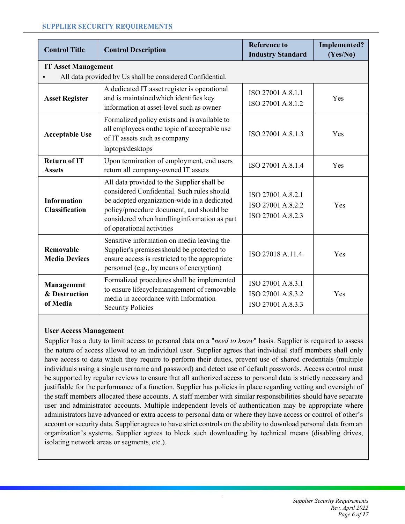| <b>Control Title</b>                        | <b>Control Description</b>                                                                                                                                                                                                                                       | <b>Reference to</b><br><b>Industry Standard</b>             | <b>Implemented?</b><br>(Yes/No) |
|---------------------------------------------|------------------------------------------------------------------------------------------------------------------------------------------------------------------------------------------------------------------------------------------------------------------|-------------------------------------------------------------|---------------------------------|
| <b>IT Asset Management</b>                  |                                                                                                                                                                                                                                                                  |                                                             |                                 |
|                                             | All data provided by Us shall be considered Confidential.                                                                                                                                                                                                        |                                                             |                                 |
| <b>Asset Register</b>                       | A dedicated IT asset register is operational<br>and is maintained which identifies key<br>information at asset-level such as owner                                                                                                                               | ISO 27001 A.8.1.1<br>ISO 27001 A.8.1.2                      | Yes                             |
| <b>Acceptable Use</b>                       | Formalized policy exists and is available to<br>all employees on the topic of acceptable use<br>of IT assets such as company<br>laptops/desktops                                                                                                                 | ISO 27001 A.8.1.3                                           | Yes                             |
| <b>Return of IT</b><br><b>Assets</b>        | Upon termination of employment, end users<br>return all company-owned IT assets                                                                                                                                                                                  | ISO 27001 A.8.1.4                                           | Yes                             |
| <b>Information</b><br><b>Classification</b> | All data provided to the Supplier shall be<br>considered Confidential. Such rules should<br>be adopted organization-wide in a dedicated<br>policy/procedure document, and should be<br>considered when handling information as part<br>of operational activities | ISO 27001 A.8.2.1<br>ISO 27001 A.8.2.2<br>ISO 27001 A.8.2.3 | Yes                             |
| <b>Removable</b><br><b>Media Devices</b>    | Sensitive information on media leaving the<br>Supplier's premises should be protected to<br>ensure access is restricted to the appropriate<br>personnel (e.g., by means of encryption)                                                                           | ISO 27018 A.11.4                                            | Yes                             |
| Management<br>& Destruction<br>of Media     | Formalized procedures shall be implemented<br>to ensure lifecyclemanagement of removable<br>media in accordance with Information<br><b>Security Policies</b>                                                                                                     | ISO 27001 A.8.3.1<br>ISO 27001 A.8.3.2<br>ISO 27001 A.8.3.3 | Yes                             |

# **User Access Management**

Supplier has a duty to limit access to personal data on a "*need to know*" basis. Supplier is required to assess the nature of access allowed to an individual user. Supplier agrees that individual staff members shall only have access to data which they require to perform their duties, prevent use of shared credentials (multiple individuals using a single username and password) and detect use of default passwords. Access control must be supported by regular reviews to ensure that all authorized access to personal data is strictly necessary and justifiable for the performance of a function. Supplier has policies in place regarding vetting and oversight of the staff members allocated these accounts. A staff member with similar responsibilities should have separate user and administrator accounts. Multiple independent levels of authentication may be appropriate where administrators have advanced or extra access to personal data or where they have access or control of other's account or security data. Supplier agrees to have strict controls on the ability to download personal data from an organization's systems. Supplier agrees to block such downloading by technical means (disabling drives, isolating network areas or segments, etc.).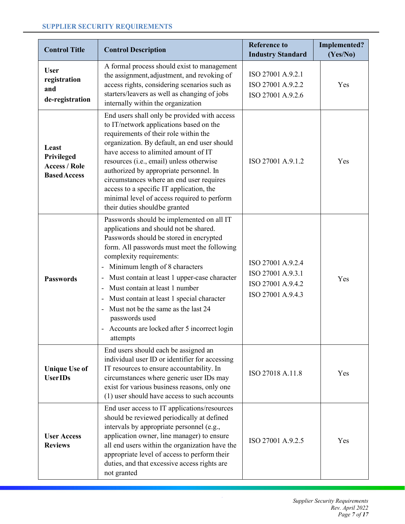| <b>Control Title</b>                                               | <b>Control Description</b>                                                                                                                                                                                                                                                                                                                                                                                                                                                                                                                             | <b>Reference to</b><br><b>Industry Standard</b>                                  | <b>Implemented?</b><br>(Yes/No) |
|--------------------------------------------------------------------|--------------------------------------------------------------------------------------------------------------------------------------------------------------------------------------------------------------------------------------------------------------------------------------------------------------------------------------------------------------------------------------------------------------------------------------------------------------------------------------------------------------------------------------------------------|----------------------------------------------------------------------------------|---------------------------------|
| <b>User</b><br>registration<br>and<br>de-registration              | A formal process should exist to management<br>the assignment, adjustment, and revoking of<br>access rights, considering scenarios such as<br>starters/leavers as well as changing of jobs<br>internally within the organization                                                                                                                                                                                                                                                                                                                       | ISO 27001 A.9.2.1<br>ISO 27001 A.9.2.2<br>ISO 27001 A.9.2.6                      | Yes                             |
| Least<br>Privileged<br><b>Access / Role</b><br><b>Based Access</b> | End users shall only be provided with access<br>to IT/network applications based on the<br>requirements of their role within the<br>organization. By default, an end user should<br>have access to alimited amount of IT<br>resources (i.e., email) unless otherwise<br>authorized by appropriate personnel. In<br>circumstances where an end user requires<br>access to a specific IT application, the<br>minimal level of access required to perform<br>their duties shouldbe granted                                                                | ISO 27001 A.9.1.2                                                                | Yes                             |
| <b>Passwords</b>                                                   | Passwords should be implemented on all IT<br>applications and should not be shared.<br>Passwords should be stored in encrypted<br>form. All passwords must meet the following<br>complexity requirements:<br>Minimum length of 8 characters<br>Must contain at least 1 upper-case character<br>$\overline{\phantom{a}}$<br>Must contain at least 1 number<br>$\overline{\phantom{a}}$<br>Must contain at least 1 special character<br>Must not be the same as the last 24<br>passwords used<br>Accounts are locked after 5 incorrect login<br>attempts | ISO 27001 A.9.2.4<br>ISO 27001 A.9.3.1<br>ISO 27001 A.9.4.2<br>ISO 27001 A.9.4.3 | Yes                             |
| <b>Unique Use of</b><br><b>UserIDs</b>                             | End users should each be assigned an<br>individual user ID or identifier for accessing<br>IT resources to ensure accountability. In<br>circumstances where generic user IDs may<br>exist for various business reasons, only one<br>(1) user should have access to such accounts                                                                                                                                                                                                                                                                        | ISO 27018 A.11.8                                                                 | Yes                             |
| <b>User Access</b><br><b>Reviews</b>                               | End user access to IT applications/resources<br>should be reviewed periodically at defined<br>intervals by appropriate personnel (e.g.,<br>application owner, line manager) to ensure<br>all end users within the organization have the<br>appropriate level of access to perform their<br>duties, and that excessive access rights are<br>not granted                                                                                                                                                                                                 | ISO 27001 A.9.2.5                                                                | Yes                             |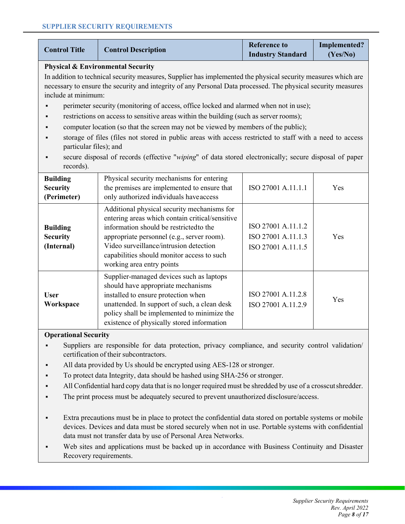| <b>Control Title</b>                                                                                                                                                                                                                                  | <b>Control Description</b>                   | <b>Reference to</b><br><b>Industry Standard</b> | Implemented?<br>(Yes/No) |
|-------------------------------------------------------------------------------------------------------------------------------------------------------------------------------------------------------------------------------------------------------|----------------------------------------------|-------------------------------------------------|--------------------------|
|                                                                                                                                                                                                                                                       | <b>Physical &amp; Environmental Security</b> |                                                 |                          |
| In addition to technical security measures, Supplier has implemented the physical security measures which are<br>necessary to ensure the security and integrity of any Personal Data processed. The physical security measures<br>include at minimum: |                                              |                                                 |                          |
| perimeter security (monitoring of access, office locked and alarmed when not in use);                                                                                                                                                                 |                                              |                                                 |                          |
| restrictions on access to sensitive areas within the building (such as server rooms);                                                                                                                                                                 |                                              |                                                 |                          |
| computer location (so that the screen may not be viewed by members of the public);                                                                                                                                                                    |                                              |                                                 |                          |
|                                                                                                                                                                                                                                                       |                                              |                                                 |                          |

- ß storage of files (files not stored in public areas with access restricted to staff with a need to access particular files); and
- ß secure disposal of records (effective "*wiping*" of data stored electronically; secure disposal of paper records).

| <b>Building</b><br><b>Security</b><br>(Perimeter) | Physical security mechanisms for entering<br>the premises are implemented to ensure that<br>only authorized individuals have access                                                                                                                                                                          | ISO 27001 A.11.1.1                                             | <b>Yes</b> |
|---------------------------------------------------|--------------------------------------------------------------------------------------------------------------------------------------------------------------------------------------------------------------------------------------------------------------------------------------------------------------|----------------------------------------------------------------|------------|
| <b>Building</b><br><b>Security</b><br>(Internal)  | Additional physical security mechanisms for<br>entering areas which contain critical/sensitive<br>information should be restricted to the<br>appropriate personnel (e.g., server room).<br>Video surveillance/intrusion detection<br>capabilities should monitor access to such<br>working area entry points | ISO 27001 A.11.1.2<br>ISO 27001 A.11.1.3<br>ISO 27001 A.11.1.5 | Yes        |
| <b>User</b><br>Workspace                          | Supplier-managed devices such as laptops<br>should have appropriate mechanisms<br>installed to ensure protection when<br>unattended. In support of such, a clean desk<br>policy shall be implemented to minimize the<br>existence of physically stored information                                           | ISO 27001 A.11.2.8<br>ISO 27001 A.11.2.9                       | Yes        |

# **Operational Security**

- ß Suppliers are responsible for data protection, privacy compliance, and security control validation/ certification of their subcontractors.
- ß All data provided by Us should be encrypted using AES-128 or stronger.
- To protect data Integrity, data should be hashed using SHA-256 or stronger.
- All Confidential hard copy data that is no longer required must be shredded by use of a crosscut shredder.
- The print process must be adequately secured to prevent unauthorized disclosure/access.
- ß Extra precautions must be in place to protect the confidential data stored on portable systems or mobile devices. Devices and data must be stored securely when not in use. Portable systems with confidential data must not transfer data by use of Personal Area Networks.
- Web sites and applications must be backed up in accordance with Business Continuity and Disaster Recovery requirements.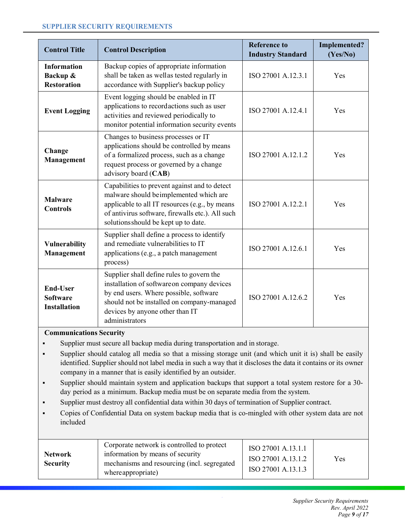| <b>Control Title</b>                                      | <b>Control Description</b>                                                                                                                                                                                                            | <b>Reference to</b><br><b>Industry Standard</b> | <b>Implemented?</b><br>(Yes/No) |
|-----------------------------------------------------------|---------------------------------------------------------------------------------------------------------------------------------------------------------------------------------------------------------------------------------------|-------------------------------------------------|---------------------------------|
| <b>Information</b><br>Backup &<br><b>Restoration</b>      | Backup copies of appropriate information<br>shall be taken as wellas tested regularly in<br>accordance with Supplier's backup policy                                                                                                  | ISO 27001 A.12.3.1                              | Yes                             |
| <b>Event Logging</b>                                      | Event logging should be enabled in IT<br>applications to recordactions such as user<br>activities and reviewed periodically to<br>monitor potential information security events                                                       | ISO 27001 A.12.4.1                              | Yes                             |
| Change<br>Management                                      | Changes to business processes or IT<br>applications should be controlled by means<br>of a formalized process, such as a change<br>request process or governed by a change<br>advisory board (CAB)                                     | ISO 27001 A.12.1.2                              | Yes                             |
| <b>Malware</b><br><b>Controls</b>                         | Capabilities to prevent against and to detect<br>malware should beimplemented which are<br>applicable to all IT resources (e.g., by means<br>of antivirus software, firewalls etc.). All such<br>solutions should be kept up to date. | ISO 27001 A.12.2.1                              | Yes                             |
| <b>Vulnerability</b><br>Management                        | Supplier shall define a process to identify<br>and remediate vulnerabilities to IT<br>applications (e.g., a patch management<br>process)                                                                                              | ISO 27001 A.12.6.1                              | Yes                             |
| <b>End-User</b><br><b>Software</b><br><b>Installation</b> | Supplier shall define rules to govern the<br>installation of softwareon company devices<br>by end users. Where possible, software<br>should not be installed on company-managed<br>devices by anyone other than IT<br>administrators  | ISO 27001 A.12.6.2                              | Yes                             |

# **Communications Security**

- ß Supplier must secure all backup media during transportation and in storage.
- ß Supplier should catalog all media so that a missing storage unit (and which unit it is) shall be easily identified. Supplier should not label media in such a way that it discloses the data it contains or its owner company in a manner that is easily identified by an outsider.
- ß Supplier should maintain system and application backups that support a total system restore for a 30 day period as a minimum. Backup media must be on separate media from the system.
- ß Supplier must destroy all confidential data within 30 days of termination of Supplier contract.
- ß Copies of Confidential Data on system backup media that is co-mingled with other system data are not included

| <b>Network</b><br><b>Security</b> | Corporate network is controlled to protect<br>information by means of security<br>mechanisms and resourcing (incl. segregated<br>where appropriate) | ISO 27001 A.13.1.1<br>ISO 27001 A.13.1.2<br>ISO 27001 A.13.1.3 | Yes |
|-----------------------------------|-----------------------------------------------------------------------------------------------------------------------------------------------------|----------------------------------------------------------------|-----|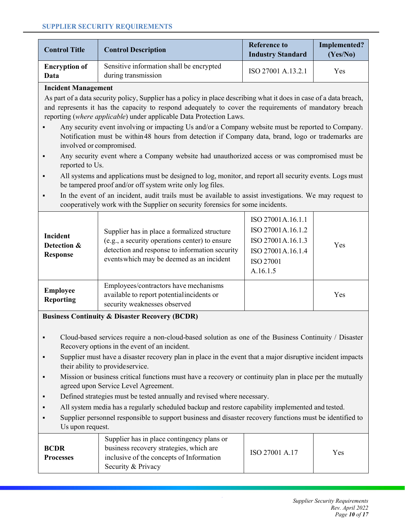| <b>Control Title</b>                                                                                                                                                                                                                                                                                                                                                          | <b>Control Description</b>                                                                                                                                                                                                                                                                              | <b>Reference to</b><br><b>Industry Standard</b> | <b>Implemented?</b><br>(Yes/No) |  |
|-------------------------------------------------------------------------------------------------------------------------------------------------------------------------------------------------------------------------------------------------------------------------------------------------------------------------------------------------------------------------------|---------------------------------------------------------------------------------------------------------------------------------------------------------------------------------------------------------------------------------------------------------------------------------------------------------|-------------------------------------------------|---------------------------------|--|
| <b>Encryption of</b><br><b>Data</b>                                                                                                                                                                                                                                                                                                                                           | Sensitive information shall be encrypted<br>during transmission                                                                                                                                                                                                                                         | ISO 27001 A.13.2.1                              | Yes                             |  |
| <b>Incident Management</b>                                                                                                                                                                                                                                                                                                                                                    |                                                                                                                                                                                                                                                                                                         |                                                 |                                 |  |
|                                                                                                                                                                                                                                                                                                                                                                               | As part of a data security policy, Supplier has a policy in place describing what it does in case of a data breach,<br>and represents it has the capacity to respond adequately to cover the requirements of mandatory breach<br>reporting (where applicable) under applicable Data Protection Laws.    |                                                 |                                 |  |
|                                                                                                                                                                                                                                                                                                                                                                               | Any security event involving or impacting Us and/or a Company website must be reported to Company.<br>Notification must be within 48 hours from detection if Company data, brand, logo or trademarks are<br>involved or compromised.                                                                    |                                                 |                                 |  |
| $\blacksquare$<br>reported to Us.                                                                                                                                                                                                                                                                                                                                             | Any security event where a Company website had unauthorized access or was compromised must be                                                                                                                                                                                                           |                                                 |                                 |  |
| $\blacksquare$                                                                                                                                                                                                                                                                                                                                                                | All systems and applications must be designed to log, monitor, and report all security events. Logs must<br>be tampered proof and/or off system write only log files.                                                                                                                                   |                                                 |                                 |  |
| $\blacksquare$                                                                                                                                                                                                                                                                                                                                                                | In the event of an incident, audit trails must be available to assist investigations. We may request to<br>cooperatively work with the Supplier on security forensics for some incidents.                                                                                                               |                                                 |                                 |  |
| ISO 27001A.16.1.1<br>ISO 27001A.16.1.2<br>Supplier has in place a formalized structure<br><b>Incident</b><br>(e.g., a security operations center) to ensure<br>ISO 27001A.16.1.3<br>Detection &<br>Yes<br>detection and response to information security<br>ISO 27001A.16.1.4<br><b>Response</b><br>events which may be deemed as an incident<br><b>ISO 27001</b><br>A.16.1.5 |                                                                                                                                                                                                                                                                                                         |                                                 |                                 |  |
| <b>Employee</b><br><b>Reporting</b>                                                                                                                                                                                                                                                                                                                                           | Employees/contractors have mechanisms<br>available to report potential incidents or<br>security weaknesses observed                                                                                                                                                                                     |                                                 | Yes                             |  |
| <b>Business Continuity &amp; Disaster Recovery (BCDR)</b>                                                                                                                                                                                                                                                                                                                     |                                                                                                                                                                                                                                                                                                         |                                                 |                                 |  |
| $\blacksquare$                                                                                                                                                                                                                                                                                                                                                                | Cloud-based services require a non-cloud-based solution as one of the Business Continuity / Disaster<br>Recovery options in the event of an incident.<br>Supplier must have a disaster recovery plan in place in the event that a major disruptive incident impacts<br>their ability to provideservice. |                                                 |                                 |  |

- **KED Mission or business critical functions must have a recovery or continuity plan in place per the mutually** agreed upon Service Level Agreement.
- **•** Defined strategies must be tested annually and revised where necessary.
- All system media has a regularly scheduled backup and restore capability implemented and tested.
- ß Supplier personnel responsible to support business and disaster recovery functions must be identified to Us upon request.

| <b>BCDR</b><br><b>Processes</b> | Supplier has in place contingency plans or<br>business recovery strategies, which are<br>inclusive of the concepts of Information<br>Security & Privacy | ISO 27001 A.17 | Yes |
|---------------------------------|---------------------------------------------------------------------------------------------------------------------------------------------------------|----------------|-----|
|---------------------------------|---------------------------------------------------------------------------------------------------------------------------------------------------------|----------------|-----|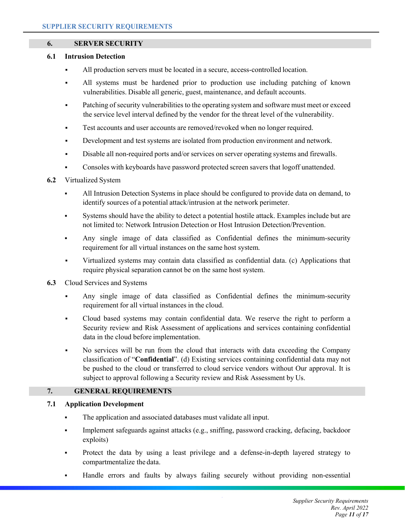## **6. SERVER SECURITY**

#### **6.1 Intrusion Detection**

- All production servers must be located in a secure, access-controlled location.
- ß All systems must be hardened prior to production use including patching of known vulnerabilities. Disable all generic, guest, maintenance, and default accounts.
- Patching of security vulnerabilities to the operating system and software must meet or exceed the service level interval defined by the vendor for the threat level of the vulnerability.
- Test accounts and user accounts are removed/revoked when no longer required.
- ß Development and test systems are isolated from production environment and network.
- **Example 3** Disable all non-required ports and/or services on server operating systems and firewalls.
- ß Consoles with keyboards have password protected screen savers that logoff unattended.

# **6.2** Virtualized System

- ß All Intrusion Detection Systems in place should be configured to provide data on demand, to identify sources of a potential attack/intrusion at the network perimeter.
- ß Systems should have the ability to detect a potential hostile attack. Examples include but are not limited to: Network Intrusion Detection or Host Intrusion Detection/Prevention.
- ß Any single image of data classified as Confidential defines the minimum-security requirement for all virtual instances on the same host system.
- ß Virtualized systems may contain data classified as confidential data. (c) Applications that require physical separation cannot be on the same host system.

### **6.3** Cloud Services and Systems

- ß Any single image of data classified as Confidential defines the minimum-security requirement for all virtual instances in the cloud.
- ß Cloud based systems may contain confidential data. We reserve the right to perform a Security review and Risk Assessment of applications and services containing confidential data in the cloud before implementation.
- ß No services will be run from the cloud that interacts with data exceeding the Company classification of "**Confidential**". (d) Existing services containing confidential data may not be pushed to the cloud or transferred to cloud service vendors without Our approval. It is subject to approval following a Security review and Risk Assessment by Us.

# **7. GENERAL REQUIREMENTS**

### **7.1 Application Development**

- The application and associated databases must validate all input.
- ß Implement safeguards against attacks (e.g., sniffing, password cracking, defacing, backdoor exploits)
- ß Protect the data by using a least privilege and a defense-in-depth layered strategy to compartmentalize the data.
- ß Handle errors and faults by always failing securely without providing non-essential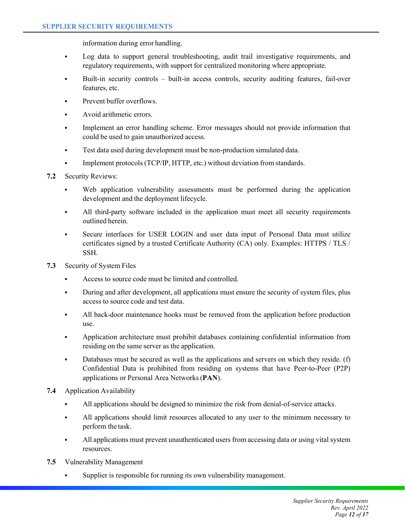information during error handling.

- ß Log data to support general troubleshooting, audit trail investigative requirements, and regulatory requirements, with support for centralized monitoring where appropriate.
- ß Built-in security controls built-in access controls, security auditing features, fail-over features, etc.
- Prevent buffer overflows.
- ß Avoid arithmetic errors.
- ß Implement an error handling scheme. Error messages should not provide information that could be used to gain unauthorized access.
- ß Test data used during development must be non-production simulated data.
- ß Implement protocols (TCP/IP, HTTP, etc.) without deviation from standards.
- **7.2** Security Reviews:
	- Web application vulnerability assessments must be performed during the application development and the deployment lifecycle.
	- ß All third-party software included in the application must meet all security requirements outlined herein.
	- **Secure interfaces for USER LOGIN and user data input of Personal Data must utilize** certificates signed by a trusted Certificate Authority (CA) only. Examples: HTTPS / TLS / SSH.
- **7.3** Security of System Files
	- ß Access to source code must be limited and controlled.
	- During and after development, all applications must ensure the security of system files, plus access to source code and test data.
	- ß All back-door maintenance hooks must be removed from the application before production use.
	- ß Application architecture must prohibit databases containing confidential information from residing on the same server as the application.
	- Databases must be secured as well as the applications and servers on which they reside. (f) Confidential Data is prohibited from residing on systems that have Peer-to-Peer (P2P) applications or Personal Area Networks (**PAN**).
- **7.4** Application Availability
	- ß All applications should be designed to minimize the risk from denial-of-service attacks.
	- ß All applications should limit resources allocated to any user to the minimum necessary to perform the task.
	- ß All applications must prevent unauthenticated users from accessing data or using vital system resources.
- **7.5** Vulnerability Management
	- ß Supplier is responsible for running its own vulnerability management.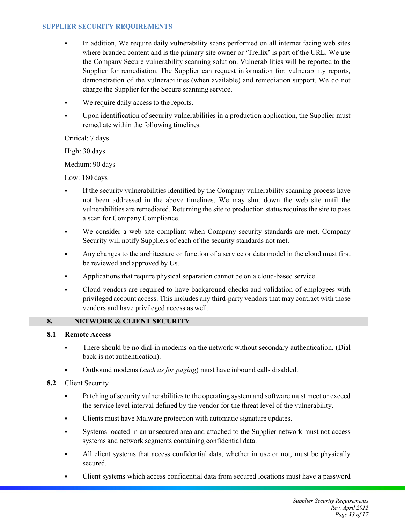- In addition, We require daily vulnerability scans performed on all internet facing web sites where branded content and is the primary site owner or 'Trellix' is part of the URL. We use the Company Secure vulnerability scanning solution. Vulnerabilities will be reported to the Supplier for remediation. The Supplier can request information for: vulnerability reports, demonstration of the vulnerabilities (when available) and remediation support. We do not charge the Supplier for the Secure scanning service.
- We require daily access to the reports.
- ß Upon identification of security vulnerabilities in a production application, the Supplier must remediate within the following timelines:

Critical: 7 days

High: 30 days

Medium: 90 days

Low: 180 days

- ß If the security vulnerabilities identified by the Company vulnerability scanning process have not been addressed in the above timelines, We may shut down the web site until the vulnerabilities are remediated. Returning the site to production status requires the site to pass a scan for Company Compliance.
- We consider a web site compliant when Company security standards are met. Company Security will notify Suppliers of each of the security standards not met.
- ß Any changes to the architecture or function of a service or data model in the cloud must first be reviewed and approved by Us.
- ß Applications that require physical separation cannot be on a cloud-based service.
- ß Cloud vendors are required to have background checks and validation of employees with privileged account access. This includes any third-party vendors that may contract with those vendors and have privileged access as well.

# **8. NETWORK & CLIENT SECURITY**

## **8.1 Remote Access**

- ß There should be no dial-in modems on the network without secondary authentication. (Dial back is not authentication).
- ß Outbound modems (*such as for paging*) must have inbound calls disabled.
- **8.2** Client Security
	- **•** Patching of security vulnerabilities to the operating system and software must meet or exceed the service level interval defined by the vendor for the threat level of the vulnerability.
	- ß Clients must have Malware protection with automatic signature updates.
	- ß Systems located in an unsecured area and attached to the Supplier network must not access systems and network segments containing confidential data.
	- ß All client systems that access confidential data, whether in use or not, must be physically secured.
	- ß Client systems which access confidential data from secured locations must have a password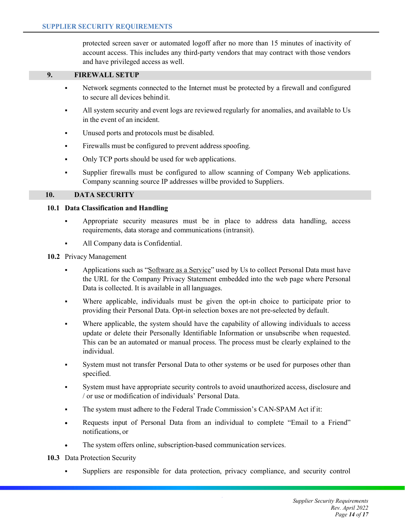protected screen saver or automated logoff after no more than 15 minutes of inactivity of account access. This includes any third-party vendors that may contract with those vendors and have privileged access as well.

#### **9. FIREWALL SETUP**

- Internet Metwork segments connected to the Internet must be protected by a firewall and configured to secure all devices behind it.
- ß All system security and event logs are reviewed regularly for anomalies, and available to Us in the event of an incident.
- ß Unused ports and protocols must be disabled.
- ß Firewalls must be configured to prevent address spoofing.
- ß Only TCP ports should be used for web applications.
- ß Supplier firewalls must be configured to allow scanning of Company Web applications. Company scanning source IP addresses willbe provided to Suppliers.

#### **10. DATA SECURITY**

#### **10.1 Data Classification and Handling**

- ß Appropriate security measures must be in place to address data handling, access requirements, data storage and communications (intransit).
- ß All Company data is Confidential.
- **10.2** Privacy Management
	- ß Applications such as "Software as a Service" used by Us to collect Personal Data must have the URL for the Company Privacy Statement embedded into the web page where Personal Data is collected. It is available in all languages.
	- Where applicable, individuals must be given the opt-in choice to participate prior to providing their Personal Data. Opt-in selection boxes are not pre-selected by default.
	- ß Where applicable, the system should have the capability of allowing individuals to access update or delete their Personally Identifiable Information or unsubscribe when requested. This can be an automated or manual process. The process must be clearly explained to the individual.
	- ß System must not transfer Personal Data to other systems or be used for purposes other than specified.
	- ß System must have appropriate security controls to avoid unauthorized access, disclosure and / or use or modification of individuals' Personal Data.
	- ß The system must adhere to the Federal Trade Commission's CAN-SPAM Act if it:
	- ∑ Requests input of Personal Data from an individual to complete "Email to a Friend" notifications, or
	- The system offers online, subscription-based communication services.
- **10.3** Data Protection Security
	- ß Suppliers are responsible for data protection, privacy compliance, and security control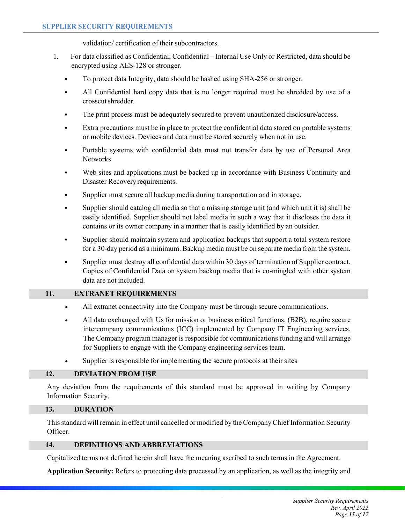validation/ certification of their subcontractors.

- 1. For data classified as Confidential, Confidential Internal Use Only or Restricted, data should be encrypted using AES-128 or stronger.
	- ß To protect data Integrity, data should be hashed using SHA-256 or stronger.
	- ß All Confidential hard copy data that is no longer required must be shredded by use of a crosscut shredder.
	- ß The print process must be adequately secured to prevent unauthorized disclosure/access.
	- ß Extra precautions must be in place to protect the confidential data stored on portable systems or mobile devices. Devices and data must be stored securely when not in use.
	- ß Portable systems with confidential data must not transfer data by use of Personal Area **Networks**
	- Web sites and applications must be backed up in accordance with Business Continuity and Disaster Recoveryrequirements.
	- ß Supplier must secure all backup media during transportation and in storage.
	- ß Supplier should catalog all media so that a missing storage unit (and which unit it is) shall be easily identified. Supplier should not label media in such a way that it discloses the data it contains or its owner company in a manner that is easily identified by an outsider.
	- ß Supplier should maintain system and application backups that support a total system restore for a 30-day period as a minimum. Backup media must be on separate media from the system.
	- ß Supplier must destroy all confidential data within 30 days of termination of Supplier contract. Copies of Confidential Data on system backup media that is co-mingled with other system data are not included.

### **11. EXTRANET REQUIREMENTS**

- All extranet connectivity into the Company must be through secure communications.
- ∑ All data exchanged with Us for mission or business critical functions, (B2B), require secure intercompany communications (ICC) implemented by Company IT Engineering services. The Company program manager is responsible for communications funding and will arrange for Suppliers to engage with the Company engineering services team.
- Supplier is responsible for implementing the secure protocols at their sites

### **12. DEVIATION FROM USE**

Any deviation from the requirements of this standard must be approved in writing by Company Information Security.

### **13. DURATION**

This standard will remain in effect until cancelled or modified by the Company Chief Information Security Officer.

# **14. DEFINITIONS AND ABBREVIATIONS**

Capitalized terms not defined herein shall have the meaning ascribed to such terms in the Agreement.

**Application Security:** Refers to protecting data processed by an application, as well as the integrity and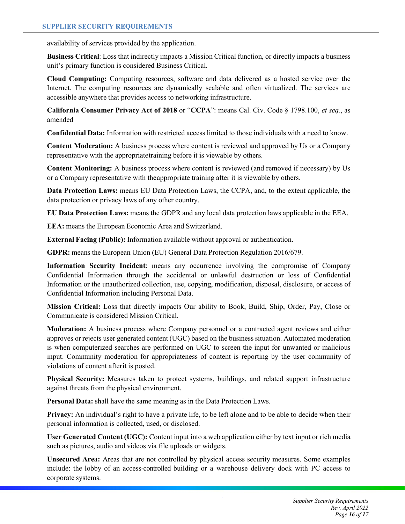availability of services provided by the application.

**Business Critical**: Loss that indirectly impacts a Mission Critical function, or directly impacts a business unit's primary function is considered Business Critical.

**Cloud Computing:** Computing resources, software and data delivered as a hosted service over the Internet. The computing resources are dynamically scalable and often virtualized. The services are accessible anywhere that provides access to networking infrastructure.

**California Consumer Privacy Act of 2018** or "**CCPA**": means Cal. Civ. Code § 1798.100, *et seq.*, as amended

**Confidential Data:** Information with restricted access limited to those individuals with a need to know.

**Content Moderation:** A business process where content is reviewed and approved by Us or a Company representative with the appropriatetraining before it is viewable by others.

**Content Monitoring:** A business process where content is reviewed (and removed if necessary) by Us or a Company representative with theappropriate training after it is viewable by others.

**Data Protection Laws:** means EU Data Protection Laws, the CCPA, and, to the extent applicable, the data protection or privacy laws of any other country.

**EU Data Protection Laws:** means the GDPR and any local data protection laws applicable in the EEA.

**EEA:** means the European Economic Area and Switzerland.

**External Facing (Public):** Information available without approval or authentication.

**GDPR:** means the European Union (EU) General Data Protection Regulation 2016/679.

**Information Security Incident**: means any occurrence involving the compromise of Company Confidential Information through the accidental or unlawful destruction or loss of Confidential Information or the unauthorized collection, use, copying, modification, disposal, disclosure, or access of Confidential Information including Personal Data.

**Mission Critical:** Loss that directly impacts Our ability to Book, Build, Ship, Order, Pay, Close or Communicate is considered Mission Critical.

**Moderation:** A business process where Company personnel or a contracted agent reviews and either approves or rejects user generated content (UGC) based on the business situation. Automated moderation is when computerized searches are performed on UGC to screen the input for unwanted or malicious input. Community moderation for appropriateness of content is reporting by the user community of violations of content afterit is posted.

**Physical Security:** Measures taken to protect systems, buildings, and related support infrastructure against threats from the physical environment.

**Personal Data:** shall have the same meaning as in the Data Protection Laws.

**Privacy:** An individual's right to have a private life, to be left alone and to be able to decide when their personal information is collected, used, or disclosed.

**User Generated Content (UGC):** Content input into a web application either by text input or rich media such as pictures, audio and videos via file uploads or widgets.

**Unsecured Area:** Areas that are not controlled by physical access security measures. Some examples include: the lobby of an access-controlled building or a warehouse delivery dock with PC access to corporate systems.